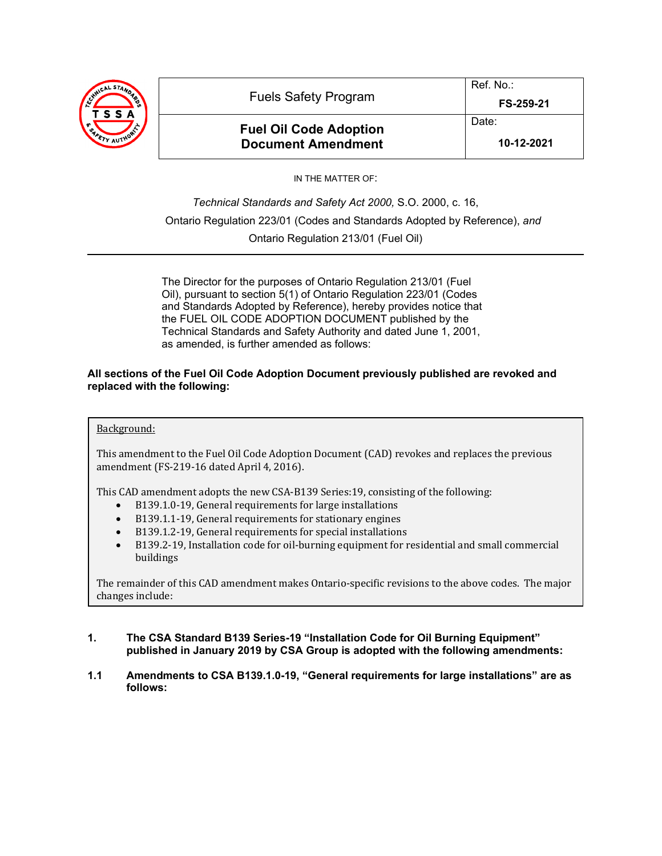

**Fuel Oil Code Adoption Document Amendment**

**10-12-2021**

IN THE MATTER OF:

*Technical Standards and Safety Act 2000,* S.O. 2000, c. 16, Ontario Regulation 223/01 (Codes and Standards Adopted by Reference), *and* Ontario Regulation 213/01 (Fuel Oil)

The Director for the purposes of Ontario Regulation 213/01 (Fuel Oil), pursuant to section 5(1) of Ontario Regulation 223/01 (Codes and Standards Adopted by Reference), hereby provides notice that the FUEL OIL CODE ADOPTION DOCUMENT published by the Technical Standards and Safety Authority and dated June 1, 2001, as amended, is further amended as follows:

# **All sections of the Fuel Oil Code Adoption Document previously published are revoked and replaced with the following:**

# Background:

This amendment to the Fuel Oil Code Adoption Document (CAD) revokes and replaces the previous amendment (FS-219-16 dated April 4, 2016).

This CAD amendment adopts the new CSA-B139 Series:19, consisting of the following:<br>
• B139.1.0-19. General requirements for large installations

- B139.1.0-19, General requirements for large installations
- B139.1.1-19, General requirements for stationary engines
- B139.1.2-19, General requirements for special installations
- B139.2-19, Installation code for oil-burning equipment for residential and small commercial buildings

The remainder of this CAD amendment makes Ontario-specific revisions to the above codes. The major changes include:

# **1. The CSA Standard B139 Series-19 "Installation Code for Oil Burning Equipment" published in January 2019 by CSA Group is adopted with the following amendments:**

**1.1 Amendments to CSA B139.1.0-19, "General requirements for large installations" are as follows:**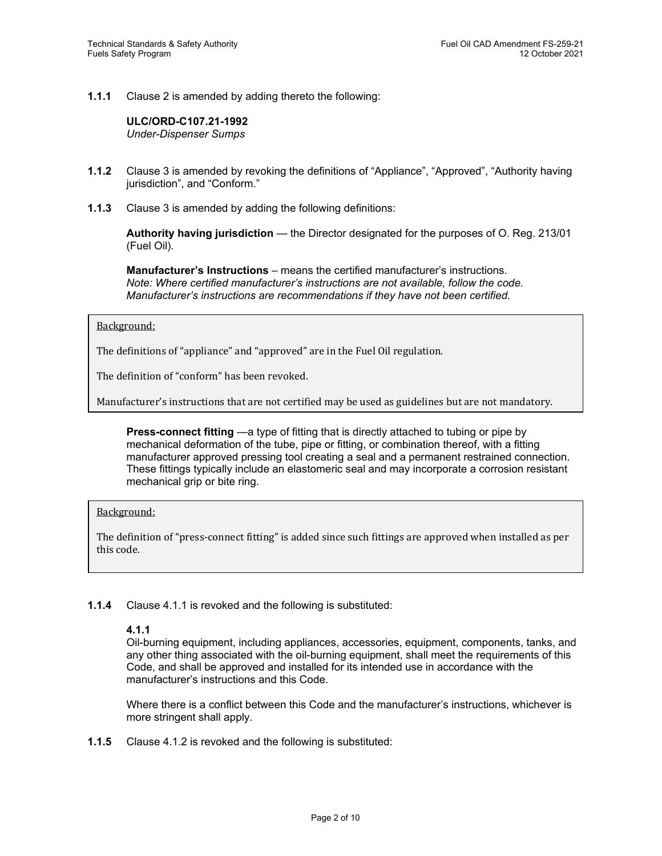**1.1.1** Clause 2 is amended by adding thereto the following:

**ULC/ORD-C107.21-1992** *Under-Dispenser Sumps*

- **1.1.2** Clause 3 is amended by revoking the definitions of "Appliance", "Approved", "Authority having jurisdiction", and "Conform."
- **1.1.3** Clause 3 is amended by adding the following definitions:

**Authority having jurisdiction** — the Director designated for the purposes of O. Reg. 213/01 (Fuel Oil).

**Manufacturer's Instructions** – means the certified manufacturer's instructions. *Note: Where certified manufacturer's instructions are not available, follow the code. Manufacturer's instructions are recommendations if they have not been certified.*

#### Background:

The definitions of "appliance" and "approved" are in the Fuel Oil regulation.

The definition of "conform" has been revoked.

Manufacturer's instructions that are not certified may be used as guidelines but are not mandatory.

**Press-connect fitting** —a type of fitting that is directly attached to tubing or pipe by mechanical deformation of the tube, pipe or fitting, or combination thereof, with a fitting manufacturer approved pressing tool creating a seal and a permanent restrained connection. These fittings typically include an elastomeric seal and may incorporate a corrosion resistant mechanical grip or bite ring.

## Background:

The definition of "press-connect fitting" is added since such fittings are approved when installed as per this code.

## **1.1.4** Clause 4.1.1 is revoked and the following is substituted:

## **4.1.1**

Oil-burning equipment, including appliances, accessories, equipment, components, tanks, and any other thing associated with the oil-burning equipment, shall meet the requirements of this Code, and shall be approved and installed for its intended use in accordance with the manufacturer's instructions and this Code.

Where there is a conflict between this Code and the manufacturer's instructions, whichever is more stringent shall apply.

**1.1.5** Clause 4.1.2 is revoked and the following is substituted: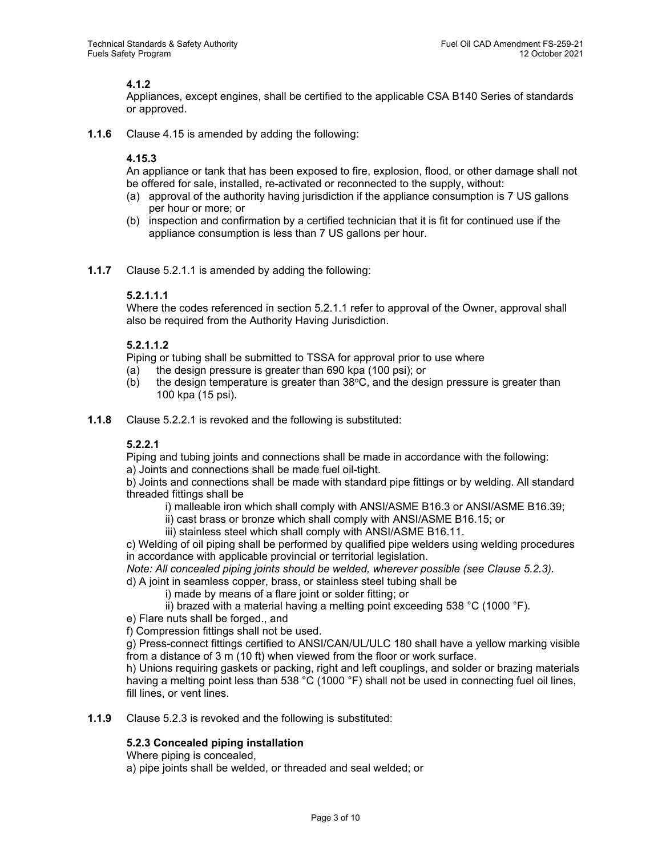# **4.1.2**

Appliances, except engines, shall be certified to the applicable CSA B140 Series of standards or approved.

**1.1.6** Clause 4.15 is amended by adding the following:

# **4.15.3**

An appliance or tank that has been exposed to fire, explosion, flood, or other damage shall not be offered for sale, installed, re-activated or reconnected to the supply, without:

- (a) approval of the authority having jurisdiction if the appliance consumption is 7 US gallons per hour or more; or
- (b) inspection and confirmation by a certified technician that it is fit for continued use if the appliance consumption is less than 7 US gallons per hour.
- **1.1.7** Clause 5.2.1.1 is amended by adding the following:

# **5.2.1.1.1**

Where the codes referenced in section 5.2.1.1 refer to approval of the Owner, approval shall also be required from the Authority Having Jurisdiction.

# **5.2.1.1.2**

Piping or tubing shall be submitted to TSSA for approval prior to use where

- (a) the design pressure is greater than 690 kpa (100 psi); or
- (b) the design temperature is greater than  $38^{\circ}$ C, and the design pressure is greater than 100 kpa (15 psi).
- **1.1.8** Clause 5.2.2.1 is revoked and the following is substituted:

# **5.2.2.1**

Piping and tubing joints and connections shall be made in accordance with the following:

a) Joints and connections shall be made fuel oil-tight.

b) Joints and connections shall be made with standard pipe fittings or by welding. All standard threaded fittings shall be

- i) malleable iron which shall comply with ANSI/ASME B16.3 or ANSI/ASME B16.39;
- ii) cast brass or bronze which shall comply with ANSI/ASME B16.15; or
- iii) stainless steel which shall comply with ANSI/ASME B16.11.

c) Welding of oil piping shall be performed by qualified pipe welders using welding procedures in accordance with applicable provincial or territorial legislation.

*Note: All concealed piping joints should be welded, wherever possible (see Clause 5.2.3).*

d) A joint in seamless copper, brass, or stainless steel tubing shall be

- i) made by means of a flare joint or solder fitting; or
- ii) brazed with a material having a melting point exceeding 538 °C (1000 °F).

e) Flare nuts shall be forged., and

f) Compression fittings shall not be used.

g) Press-connect fittings certified to ANSI/CAN/UL/ULC 180 shall have a yellow marking visible from a distance of 3 m (10 ft) when viewed from the floor or work surface.

h) Unions requiring gaskets or packing, right and left couplings, and solder or brazing materials having a melting point less than 538 °C (1000 °F) shall not be used in connecting fuel oil lines, fill lines, or vent lines.

**1.1.9** Clause 5.2.3 is revoked and the following is substituted:

# **5.2.3 Concealed piping installation**

Where piping is concealed,

a) pipe joints shall be welded, or threaded and seal welded; or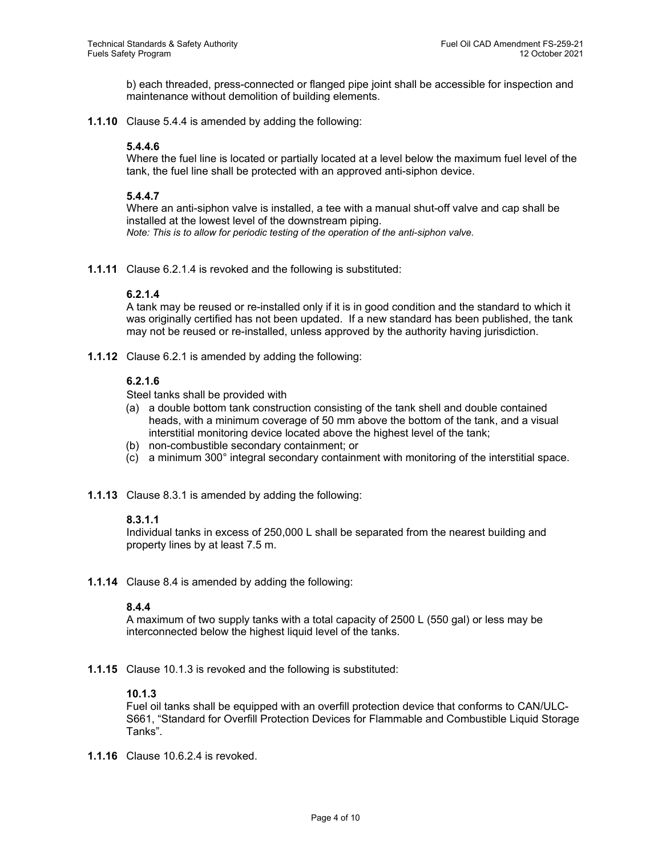b) each threaded, press-connected or flanged pipe joint shall be accessible for inspection and maintenance without demolition of building elements.

**1.1.10** Clause 5.4.4 is amended by adding the following:

# **5.4.4.6**

Where the fuel line is located or partially located at a level below the maximum fuel level of the tank, the fuel line shall be protected with an approved anti-siphon device.

## **5.4.4.7**

Where an anti-siphon valve is installed, a tee with a manual shut-off valve and cap shall be installed at the lowest level of the downstream piping. *Note: This is to allow for periodic testing of the operation of the anti-siphon valve.*

**1.1.11** Clause 6.2.1.4 is revoked and the following is substituted:

## **6.2.1.4**

A tank may be reused or re-installed only if it is in good condition and the standard to which it was originally certified has not been updated. If a new standard has been published, the tank may not be reused or re-installed, unless approved by the authority having jurisdiction.

**1.1.12** Clause 6.2.1 is amended by adding the following:

# **6.2.1.6**

Steel tanks shall be provided with

- (a) a double bottom tank construction consisting of the tank shell and double contained heads, with a minimum coverage of 50 mm above the bottom of the tank, and a visual interstitial monitoring device located above the highest level of the tank;
- (b) non-combustible secondary containment; or
- (c) a minimum 300° integral secondary containment with monitoring of the interstitial space.
- **1.1.13** Clause 8.3.1 is amended by adding the following:

## **8.3.1.1**

Individual tanks in excess of 250,000 L shall be separated from the nearest building and property lines by at least 7.5 m.

**1.1.14** Clause 8.4 is amended by adding the following:

## **8.4.4**

A maximum of two supply tanks with a total capacity of 2500 L (550 gal) or less may be interconnected below the highest liquid level of the tanks.

**1.1.15** Clause 10.1.3 is revoked and the following is substituted:

## **10.1.3**

Fuel oil tanks shall be equipped with an overfill protection device that conforms to CAN/ULC-S661, "Standard for Overfill Protection Devices for Flammable and Combustible Liquid Storage Tanks".

**1.1.16** Clause 10.6.2.4 is revoked.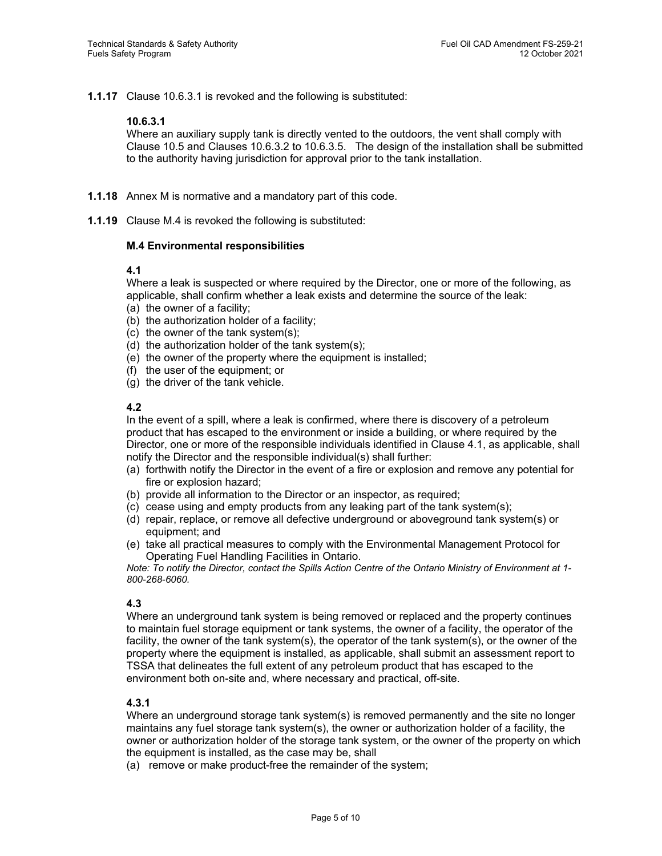**1.1.17** Clause 10.6.3.1 is revoked and the following is substituted:

## **10.6.3.1**

Where an auxiliary supply tank is directly vented to the outdoors, the vent shall comply with Clause 10.5 and Clauses 10.6.3.2 to 10.6.3.5. The design of the installation shall be submitted to the authority having jurisdiction for approval prior to the tank installation.

- **1.1.18** Annex M is normative and a mandatory part of this code.
- **1.1.19** Clause M.4 is revoked the following is substituted:

# **M.4 Environmental responsibilities**

# **4.1**

Where a leak is suspected or where required by the Director, one or more of the following, as applicable, shall confirm whether a leak exists and determine the source of the leak:

- (a) the owner of a facility;
- (b) the authorization holder of a facility;
- (c) the owner of the tank system(s);
- (d) the authorization holder of the tank system(s);
- (e) the owner of the property where the equipment is installed;
- (f) the user of the equipment; or
- (g) the driver of the tank vehicle.

# **4.2**

In the event of a spill, where a leak is confirmed, where there is discovery of a petroleum product that has escaped to the environment or inside a building, or where required by the Director, one or more of the responsible individuals identified in Clause 4.1, as applicable, shall notify the Director and the responsible individual(s) shall further:

- (a) forthwith notify the Director in the event of a fire or explosion and remove any potential for fire or explosion hazard;
- (b) provide all information to the Director or an inspector, as required;
- (c) cease using and empty products from any leaking part of the tank system(s);
- (d) repair, replace, or remove all defective underground or aboveground tank system(s) or equipment; and
- (e) take all practical measures to comply with the Environmental Management Protocol for Operating Fuel Handling Facilities in Ontario.

*Note: To notify the Director, contact the Spills Action Centre of the Ontario Ministry of Environment at 1- 800-268-6060.*

# **4.3**

Where an underground tank system is being removed or replaced and the property continues to maintain fuel storage equipment or tank systems, the owner of a facility, the operator of the facility, the owner of the tank system(s), the operator of the tank system(s), or the owner of the property where the equipment is installed, as applicable, shall submit an assessment report to TSSA that delineates the full extent of any petroleum product that has escaped to the environment both on-site and, where necessary and practical, off-site.

# **4.3.1**

Where an underground storage tank system(s) is removed permanently and the site no longer maintains any fuel storage tank system(s), the owner or authorization holder of a facility, the owner or authorization holder of the storage tank system, or the owner of the property on which the equipment is installed, as the case may be, shall

(a) remove or make product-free the remainder of the system;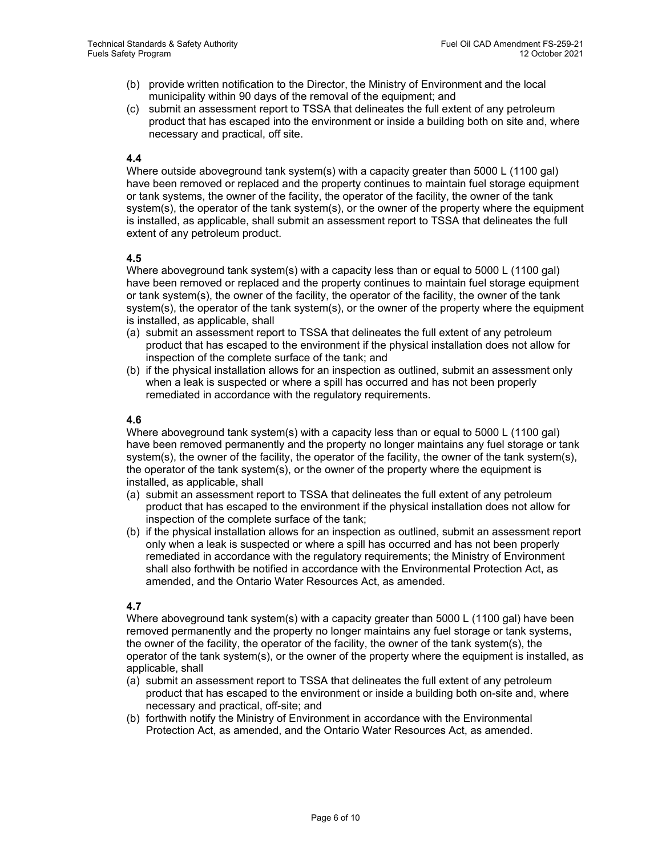- (b) provide written notification to the Director, the Ministry of Environment and the local municipality within 90 days of the removal of the equipment; and
- (c) submit an assessment report to TSSA that delineates the full extent of any petroleum product that has escaped into the environment or inside a building both on site and, where necessary and practical, off site.

# **4.4**

Where outside aboveground tank system(s) with a capacity greater than 5000 L (1100 gal) have been removed or replaced and the property continues to maintain fuel storage equipment or tank systems, the owner of the facility, the operator of the facility, the owner of the tank system(s), the operator of the tank system(s), or the owner of the property where the equipment is installed, as applicable, shall submit an assessment report to TSSA that delineates the full extent of any petroleum product.

# **4.5**

Where aboveground tank system(s) with a capacity less than or equal to 5000 L (1100 gal) have been removed or replaced and the property continues to maintain fuel storage equipment or tank system(s), the owner of the facility, the operator of the facility, the owner of the tank system(s), the operator of the tank system(s), or the owner of the property where the equipment is installed, as applicable, shall

- (a) submit an assessment report to TSSA that delineates the full extent of any petroleum product that has escaped to the environment if the physical installation does not allow for inspection of the complete surface of the tank; and
- (b) if the physical installation allows for an inspection as outlined, submit an assessment only when a leak is suspected or where a spill has occurred and has not been properly remediated in accordance with the regulatory requirements.

# **4.6**

Where aboveground tank system(s) with a capacity less than or equal to 5000 L (1100 gal) have been removed permanently and the property no longer maintains any fuel storage or tank system(s), the owner of the facility, the operator of the facility, the owner of the tank system(s), the operator of the tank system(s), or the owner of the property where the equipment is installed, as applicable, shall

- (a) submit an assessment report to TSSA that delineates the full extent of any petroleum product that has escaped to the environment if the physical installation does not allow for inspection of the complete surface of the tank;
- (b) if the physical installation allows for an inspection as outlined, submit an assessment report only when a leak is suspected or where a spill has occurred and has not been properly remediated in accordance with the regulatory requirements; the Ministry of Environment shall also forthwith be notified in accordance with the Environmental Protection Act, as amended, and the Ontario Water Resources Act, as amended.

# **4.7**

Where aboveground tank system(s) with a capacity greater than 5000 L (1100 gal) have been removed permanently and the property no longer maintains any fuel storage or tank systems, the owner of the facility, the operator of the facility, the owner of the tank system(s), the operator of the tank system(s), or the owner of the property where the equipment is installed, as applicable, shall

- (a) submit an assessment report to TSSA that delineates the full extent of any petroleum product that has escaped to the environment or inside a building both on-site and, where necessary and practical, off-site; and
- (b) forthwith notify the Ministry of Environment in accordance with the Environmental Protection Act, as amended, and the Ontario Water Resources Act, as amended.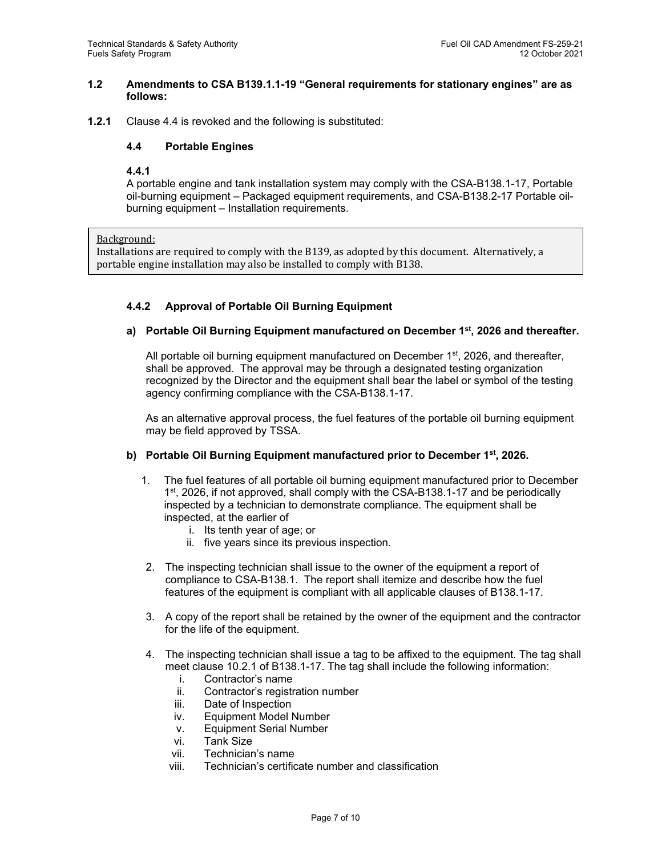## **1.2 Amendments to CSA B139.1.1-19 "General requirements for stationary engines" are as follows:**

**1.2.1** Clause 4.4 is revoked and the following is substituted:

# **4.4 Portable Engines**

## **4.4.1**

A portable engine and tank installation system may comply with the CSA-B138.1-17, Portable oil-burning equipment – Packaged equipment requirements, and CSA-B138.2-17 Portable oilburning equipment – Installation requirements.

## Background:

Installations are required to comply with the B139, as adopted by this document. Alternatively, a portable engine installation may also be installed to comply with B138.

# **4.4.2 Approval of Portable Oil Burning Equipment**

# **a) Portable Oil Burning Equipment manufactured on December 1st, 2026 and thereafter.**

All portable oil burning equipment manufactured on December  $1<sup>st</sup>$ , 2026, and thereafter, shall be approved. The approval may be through a designated testing organization recognized by the Director and the equipment shall bear the label or symbol of the testing agency confirming compliance with the CSA-B138.1-17.

As an alternative approval process, the fuel features of the portable oil burning equipment may be field approved by TSSA.

## **b) Portable Oil Burning Equipment manufactured prior to December 1st, 2026.**

- 1. The fuel features of all portable oil burning equipment manufactured prior to December 1st, 2026, if not approved, shall comply with the CSA-B138.1-17 and be periodically inspected by a technician to demonstrate compliance. The equipment shall be inspected, at the earlier of
	- i. Its tenth year of age; or
	- ii. five years since its previous inspection.
- 2. The inspecting technician shall issue to the owner of the equipment a report of compliance to CSA-B138.1. The report shall itemize and describe how the fuel features of the equipment is compliant with all applicable clauses of B138.1-17.
- 3. A copy of the report shall be retained by the owner of the equipment and the contractor for the life of the equipment.
- 4. The inspecting technician shall issue a tag to be affixed to the equipment. The tag shall meet clause 10.2.1 of B138.1-17. The tag shall include the following information:
	- i. Contractor's name
	- ii. Contractor's registration number
	- iii. Date of Inspection
	- iv. Equipment Model Number
	- v. Equipment Serial Number
	- vi. Tank Size
	- vii. Technician's name
	- viii. Technician's certificate number and classification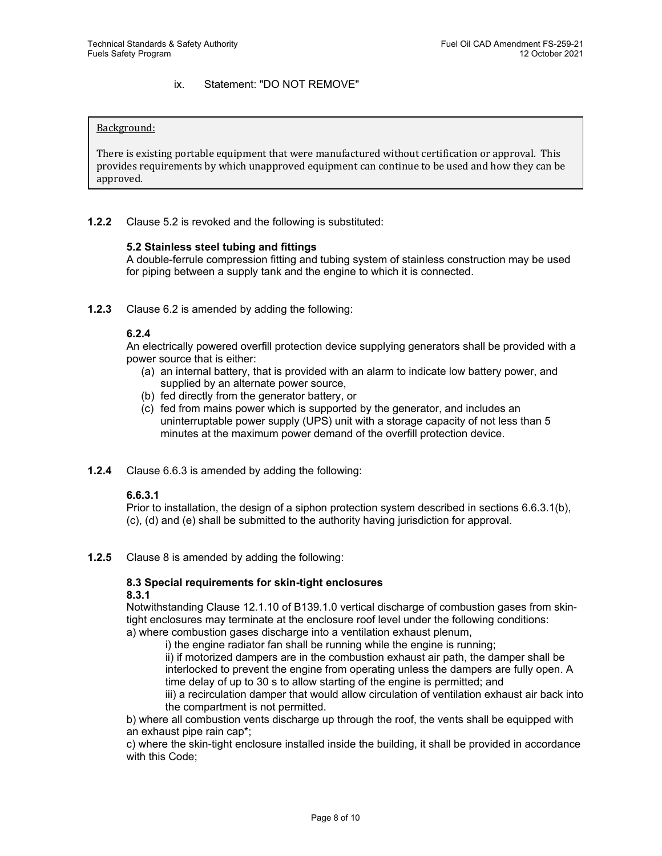# ix. Statement: "DO NOT REMOVE"

#### Background:

There is existing portable equipment that were manufactured without certification or approval. This provides requirements by which unapproved equipment can continue to be used and how they can be approved.

**1.2.2** Clause 5.2 is revoked and the following is substituted:

#### **5.2 Stainless steel tubing and fittings**

A double-ferrule compression fitting and tubing system of stainless construction may be used for piping between a supply tank and the engine to which it is connected.

**1.2.3** Clause 6.2 is amended by adding the following:

#### **6.2.4**

An electrically powered overfill protection device supplying generators shall be provided with a power source that is either:

- (a) an internal battery, that is provided with an alarm to indicate low battery power, and supplied by an alternate power source,
- (b) fed directly from the generator battery, or
- (c) fed from mains power which is supported by the generator, and includes an uninterruptable power supply (UPS) unit with a storage capacity of not less than 5 minutes at the maximum power demand of the overfill protection device.
- **1.2.4** Clause 6.6.3 is amended by adding the following:

## **6.6.3.1**

Prior to installation, the design of a siphon protection system described in sections 6.6.3.1(b), (c), (d) and (e) shall be submitted to the authority having jurisdiction for approval.

**1.2.5** Clause 8 is amended by adding the following:

#### **8.3 Special requirements for skin-tight enclosures 8.3.1**

Notwithstanding Clause 12.1.10 of B139.1.0 vertical discharge of combustion gases from skintight enclosures may terminate at the enclosure roof level under the following conditions:

a) where combustion gases discharge into a ventilation exhaust plenum,

i) the engine radiator fan shall be running while the engine is running;

ii) if motorized dampers are in the combustion exhaust air path, the damper shall be interlocked to prevent the engine from operating unless the dampers are fully open. A time delay of up to 30 s to allow starting of the engine is permitted; and

iii) a recirculation damper that would allow circulation of ventilation exhaust air back into the compartment is not permitted.

b) where all combustion vents discharge up through the roof, the vents shall be equipped with an exhaust pipe rain cap\*;

c) where the skin-tight enclosure installed inside the building, it shall be provided in accordance with this Code;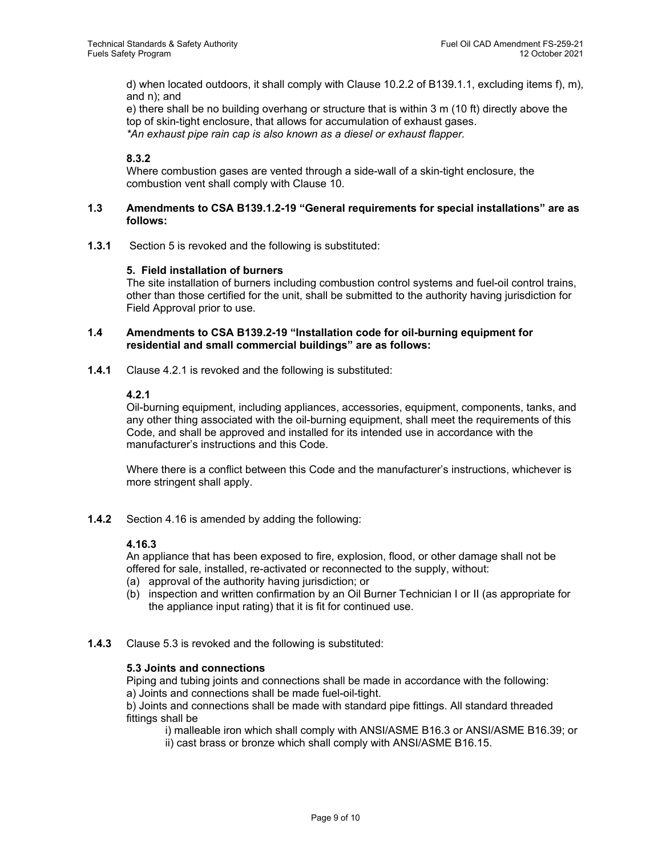d) when located outdoors, it shall comply with Clause 10.2.2 of B139.1.1, excluding items f), m), and n); and

e) there shall be no building overhang or structure that is within 3 m (10 ft) directly above the top of skin-tight enclosure, that allows for accumulation of exhaust gases. *\*An exhaust pipe rain cap is also known as a diesel or exhaust flapper.*

# **8.3.2**

Where combustion gases are vented through a side-wall of a skin-tight enclosure, the combustion vent shall comply with Clause 10.

#### **1.3 Amendments to CSA B139.1.2-19 "General requirements for special installations" are as follows:**

**1.3.1** Section 5 is revoked and the following is substituted:

## **5. Field installation of burners**

The site installation of burners including combustion control systems and fuel-oil control trains, other than those certified for the unit, shall be submitted to the authority having jurisdiction for Field Approval prior to use.

# **1.4 Amendments to CSA B139.2-19 "Installation code for oil-burning equipment for residential and small commercial buildings" are as follows:**

**1.4.1** Clause 4.2.1 is revoked and the following is substituted:

## **4.2.1**

Oil-burning equipment, including appliances, accessories, equipment, components, tanks, and any other thing associated with the oil-burning equipment, shall meet the requirements of this Code, and shall be approved and installed for its intended use in accordance with the manufacturer's instructions and this Code.

Where there is a conflict between this Code and the manufacturer's instructions, whichever is more stringent shall apply.

**1.4.2** Section 4.16 is amended by adding the following:

## **4.16.3**

An appliance that has been exposed to fire, explosion, flood, or other damage shall not be offered for sale, installed, re-activated or reconnected to the supply, without:

- (a) approval of the authority having jurisdiction; or
- (b) inspection and written confirmation by an Oil Burner Technician I or II (as appropriate for the appliance input rating) that it is fit for continued use.
- **1.4.3** Clause 5.3 is revoked and the following is substituted:

## **5.3 Joints and connections**

Piping and tubing joints and connections shall be made in accordance with the following: a) Joints and connections shall be made fuel-oil-tight.

b) Joints and connections shall be made with standard pipe fittings. All standard threaded fittings shall be

i) malleable iron which shall comply with ANSI/ASME B16.3 or ANSI/ASME B16.39; or

ii) cast brass or bronze which shall comply with ANSI/ASME B16.15.